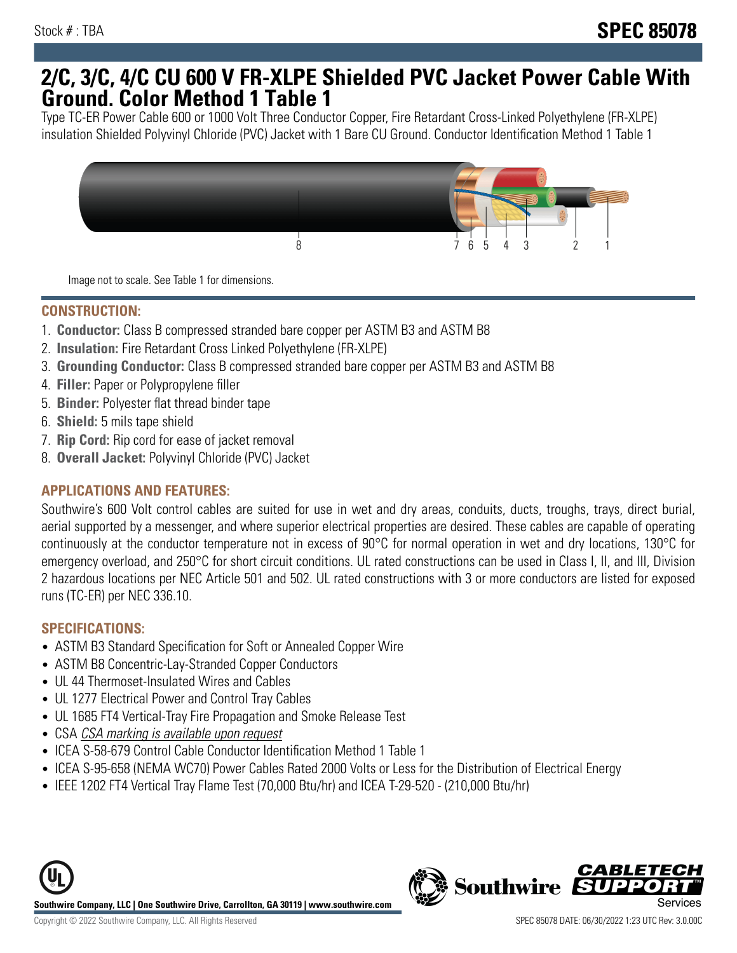## **2/C, 3/C, 4/C CU 600 V FR-XLPE Shielded PVC Jacket Power Cable With Ground. Color Method 1 Table 1**

Type TC-ER Power Cable 600 or 1000 Volt Three Conductor Copper, Fire Retardant Cross-Linked Polyethylene (FR-XLPE) insulation Shielded Polyvinyl Chloride (PVC) Jacket with 1 Bare CU Ground. Conductor Identification Method 1 Table 1



Image not to scale. See Table 1 for dimensions.

#### **CONSTRUCTION:**

- 1. **Conductor:** Class B compressed stranded bare copper per ASTM B3 and ASTM B8
- 2. **Insulation:** Fire Retardant Cross Linked Polyethylene (FR-XLPE)
- 3. **Grounding Conductor:** Class B compressed stranded bare copper per ASTM B3 and ASTM B8
- 4. **Filler:** Paper or Polypropylene filler
- 5. **Binder:** Polyester flat thread binder tape
- 6. **Shield:** 5 mils tape shield
- 7. **Rip Cord:** Rip cord for ease of jacket removal
- 8. **Overall Jacket:** Polyvinyl Chloride (PVC) Jacket

### **APPLICATIONS AND FEATURES:**

Southwire's 600 Volt control cables are suited for use in wet and dry areas, conduits, ducts, troughs, trays, direct burial, aerial supported by a messenger, and where superior electrical properties are desired. These cables are capable of operating continuously at the conductor temperature not in excess of 90°C for normal operation in wet and dry locations, 130°C for emergency overload, and 250°C for short circuit conditions. UL rated constructions can be used in Class I, II, and III, Division 2 hazardous locations per NEC Article 501 and 502. UL rated constructions with 3 or more conductors are listed for exposed runs (TC-ER) per NEC 336.10.

#### **SPECIFICATIONS:**

- ASTM B3 Standard Specification for Soft or Annealed Copper Wire
- ASTM B8 Concentric-Lay-Stranded Copper Conductors
- UL 44 Thermoset-Insulated Wires and Cables
- UL 1277 Electrical Power and Control Tray Cables
- UL 1685 FT4 Vertical-Tray Fire Propagation and Smoke Release Test
- CSA CSA marking is available upon request
- ICEA S-58-679 Control Cable Conductor Identification Method 1 Table 1
- ICEA S-95-658 (NEMA WC70) Power Cables Rated 2000 Volts or Less for the Distribution of Electrical Energy
- IEEE 1202 FT4 Vertical Tray Flame Test (70,000 Btu/hr) and ICEA T-29-520 (210,000 Btu/hr)

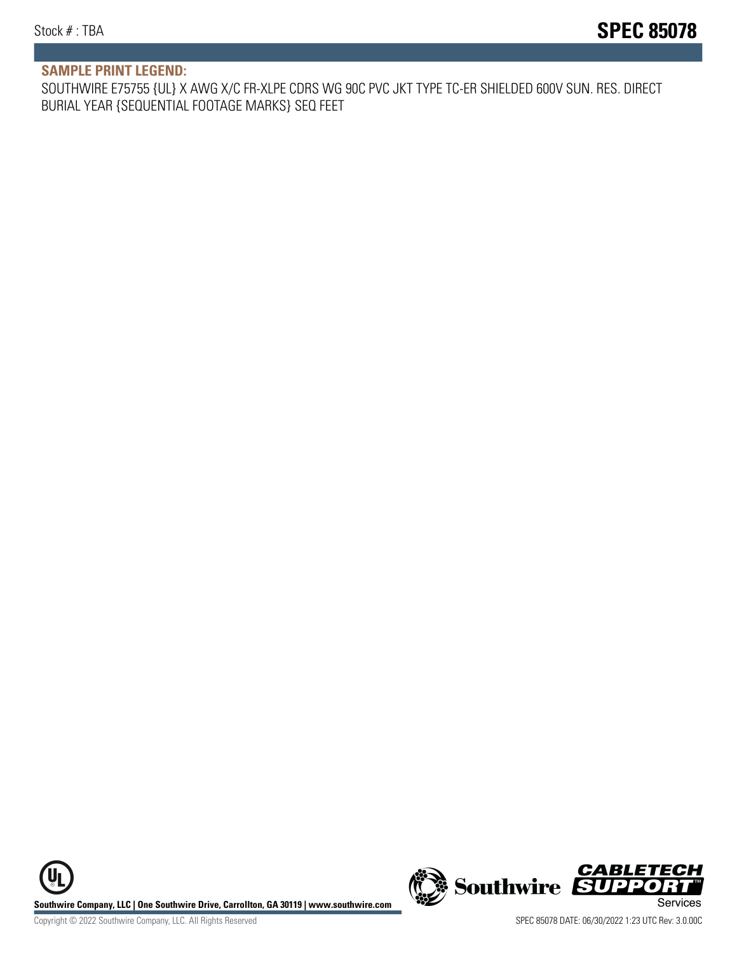#### **SAMPLE PRINT LEGEND:**

SOUTHWIRE E75755 {UL} X AWG X/C FR-XLPE CDRS WG 90C PVC JKT TYPE TC-ER SHIELDED 600V SUN. RES. DIRECT BURIAL YEAR {SEQUENTIAL FOOTAGE MARKS} SEQ FEET

UL **Southwire Company, LLC | One Southwire Drive, Carrollton, GA 30119 | www.southwire.com (New Southwire SUPPORTI**